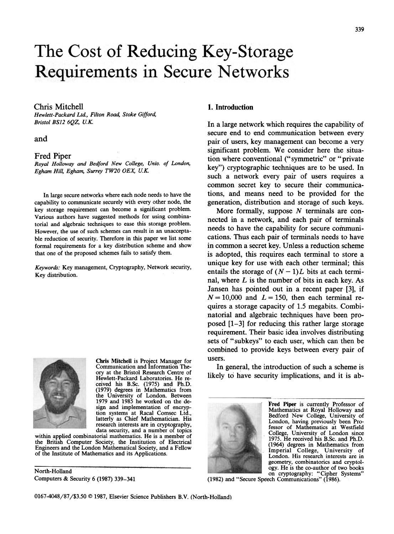# The Cost of Reducing Key-Storage **Requirements in Secure Networks**

# Chris Mitchell 1. Introduction

Hewlett-Packard Ltd., Filton Road; Stoke Gifford, Bristol BS12 6QZ, U.K.

and

#### Fred Piper

Royal Holloway and Bedford New College, Univ. of London, Egham Hill, Egham, Surrey TW20 OEX, U.K.

In large secure networks where each node needs to have the capability to communicate securely with every other node, the key storage requirement can become a significant problem. Various authors have suggested methods for using combinatorial and algebraic techniques to ease this storage problem. However, the use of such schemes can result in an unacceptable reduction of security. Therefore in this paper we list some formal requirements for a key distribution scheme and show that one of the proposed schemes fails to satisfy them.

Keywords: Key management, Cryptography, Network security, Key distribution.



Chris Mitchell is Project Manager for Communication and Information Theory at the Bristol Research Centre of Hewlett-Packard Laboratories. He received his B.Sc. (1975) and Ph.D. (1979) degrees in Mathematics from the University of London. Between 1979 and 1985 he worked on the design and implementation of encryption systems at Racal Comsec Ltd., latterly as Chief Mathematician. His research interests are in cryptography, data security, and a number of topics

within applied combinatorial mathematics. He is a member of the British Computer Society, the Institution of Electrical Engineers and the London Mathematical Society, and a Fellow of the Institute of Mathematics and its Applications.

North-Holland Computers & Security 6 (1987) 339-341

In a large network which requires the capability of secure end to end communication between every pair of users, key management can become a very significant problem. We consider here the situation where conventional ("symmetric" or "private key") cryptographic techniques are to be used. In such a network every pair of users requires a common secret key to secure their communications, and means need to be provided for the generation, distribution and storage of such keys.

More formally, suppose  $N$  terminals are connected in a network, and each pair of terminals needs to have the capability for secure communications. Thus each pair of terminals needs to have in common a secret key. Unless a reduction scheme is adopted, this requires each terminal to store a unique key for use with each other terminal; this entails the storage of  $(N-1)L$  bits at each terminal, where  $L$  is the number of bits in each key. As Jansen has pointed out in a recent paper [3], if  $N = 10,000$  and  $L = 150$ , then each terminal requires a storage capacity of 1.5 megabits. Combinatorial and algebraic techniques have been proposed [1-3] for reducing this rather large storage requirement. Their basic idea involves distributing sets of "subkeys" to each user, which can then be combined to provide keys between every pair of users.

In general, the introduction of such a scheme is likely to have security implications, and it is ab-



Fred Piper is currently Professor of Mathematics at Royal Holloway and Bedford New College, University of London, having previously been Professor of Mathematics at Westfield College, University of London since 1975. He received his B.Sc. and Ph.D. (1964) degrees in Mathematics from Imperial College, University of London. His research interests are in geometry, combinatorics and cryptology. He is the co-author of two books on cryptography: "Cipher Systems"

(1982) and "Secure Speech Communications" (1986).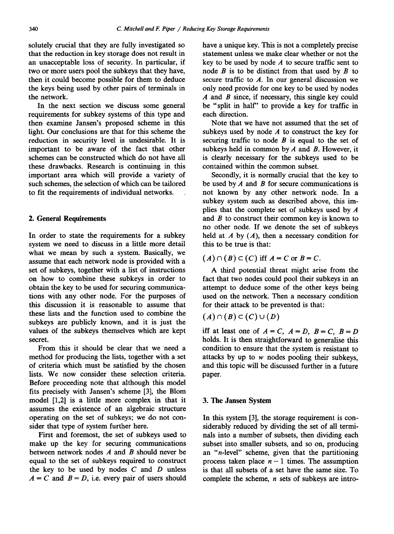solutely crucial that they are fully investigated so that the reduction in key storage does not result in an unacceptable loss of security. In particular, if two or more users pool the subkeys that they have, then it could become possible for them to deduce the keys being used by other pairs of terminals in the network.

In the next section we discuss some general requirements for subkey systems of this type and then examine Jansen's proposed scheme in this light. Our conclusions are that for this scheme the reduction in security level is undesirable. It is important to be aware of the fact that other schemes can be constructed which do not have all these drawbacks. Research is continuing in this important area which will provide a variety of such schemes, the selection of which can be tailored to fit the requirements of individual networks.

### 2. General Requirements

In order to state the requirements for a subkey system we need to discuss in a little more detail what we mean by such a system. Basically, we assume that each network node is provided with a set of subkeys, together with a list of instructions on how to combine these subkeys in order to obtain the key to be used for securing communications with any other node. For the purposes of this discussion it is reasonable to assume that these lists and the function used to combine the subkeys are publicly known, and it is just the values of the subkeys themselves which are kept secret.

From this it should be clear that we need a method for producing the lists, together with a set of criteria which must be satisfied by the chosen lists. We now consider these selection criteria. Before proceeding note that although this model fits precisely with Jansen's scheme [3], the Blom model [1,2] is a little more complex in that it assumes the existence of an algebraic structure operating on the set of subkeys; we do not consider that type of system further here.

First and foremost, the set of subkeys used to make up the key for securing communications between network nodes  $A$  and  $B$  should never be equal to the set of subkeys required to construct the key to be used by nodes  $C$  and  $D$  unless  $A = C$  and  $B = D$ , i.e. every pair of users should have a unique key. This is not a completely precise statement unless we make clear whether or not the key to be used by node  $A$  to secure traffic sent to node  $B$  is to be distinct from that used by  $B$  to secure traffic to  $A$ . In our general discussion we only need provide for one key to be used by nodes  $A$  and  $B$  since, if necessary, this single key could be "split in half" to provide a key for traffic in each direction.

Note that we have not assumed that the set of subkeys used by node  $A$  to construct the key for securing traffic to node  $B$  is equal to the set of subkeys held in common by  $A$  and  $B$ . However, it is clearly necessary for the subkeys used to be contained within the common subset.

Secondly, it is normally crucial that the key to be used by  $A$  and  $B$  for secure communications is not known by any other network node. In a subkey system such as described above, this implies that the complete set of subkeys used by  $A$ and  $B$  to construct their common key is known to no other node. If we denote the set of subkeys held at  $A$  by  $(A)$ , then a necessary condition for this to be true is that:

# $(A) \cap (B) \subset (C)$  iff  $A = C$  or  $B = C$ .

A third potential threat might arise from the fact that two nodes could pool their subkeys in an attempt to deduce some of the other keys being used on the network. Then a necessary condition for their attack to be prevented is that:

$$
(A) \cap (B) \subset (C) \cup (D)
$$

iff at least one of  $A = C$ ,  $A = D$ ,  $B = C$ ,  $B = D$ holds. It is then straightforward to generalise this condition to ensure that the system is resistant to attacks by up to w nodes pooling their subkeys, and this topic will be discussed further in a future paper.

#### 3. The Jansen System

In this system [3], the storage requirement is considerably reduced by dividing the set of all terminals into a number of subsets, then dividing each subset into smaller subsets, and so on, producing an "n-level" scheme, given that the partitioning process taken place  $n-1$  times. The assumption is that all subsets of a set have the same size. To complete the scheme,  $n$  sets of subkeys are intro